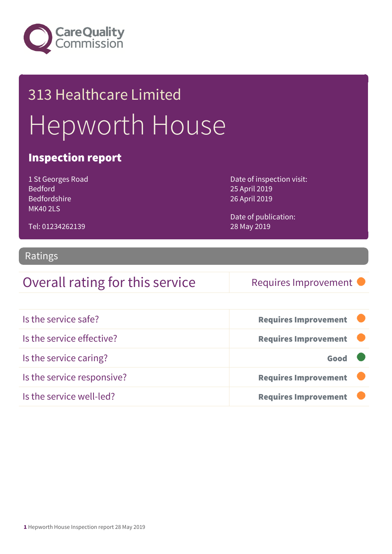

# 313 Healthcare Limited Hepworth House

#### Inspection report

1 St Georges Road Bedford Bedfordshire MK40 2LS

Tel: 01234262139

Date of inspection visit: 25 April 2019 26 April 2019

Date of publication: 28 May 2019

#### Ratings

### Overall rating for this service Requires Improvement

| Is the service safe?       | <b>Requires Improvement</b> |
|----------------------------|-----------------------------|
| Is the service effective?  | <b>Requires Improvement</b> |
| Is the service caring?     | Good                        |
| Is the service responsive? | <b>Requires Improvement</b> |
| Is the service well-led?   | <b>Requires Improvement</b> |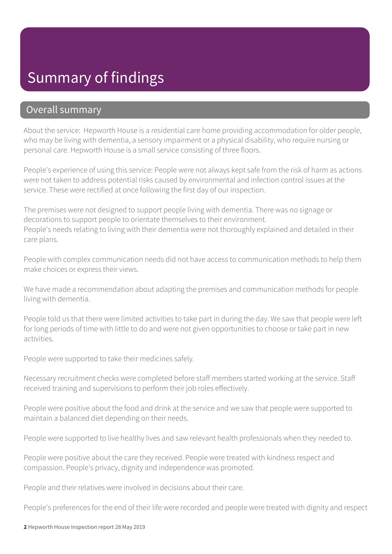# Summary of findings

#### Overall summary

About the service: Hepworth House is a residential care home providing accommodation for older people, who may be living with dementia, a sensory impairment or a physical disability, who require nursing or personal care. Hepworth House is a small service consisting of three floors.

People's experience of using this service: People were not always kept safe from the risk of harm as actions were not taken to address potential risks caused by environmental and infection control issues at the service. These were rectified at once following the first day of our inspection.

The premises were not designed to support people living with dementia. There was no signage or decorations to support people to orientate themselves to their environment. People's needs relating to living with their dementia were not thoroughly explained and detailed in their care plans.

People with complex communication needs did not have access to communication methods to help them make choices or express their views.

We have made a recommendation about adapting the premises and communication methods for people living with dementia.

People told us that there were limited activities to take part in during the day. We saw that people were left for long periods of time with little to do and were not given opportunities to choose or take part in new activities.

People were supported to take their medicines safely.

Necessary recruitment checks were completed before staff members started working at the service. Staff received training and supervisions to perform their job roles effectively.

People were positive about the food and drink at the service and we saw that people were supported to maintain a balanced diet depending on their needs.

People were supported to live healthy lives and saw relevant health professionals when they needed to.

People were positive about the care they received. People were treated with kindness respect and compassion. People's privacy, dignity and independence was promoted.

People and their relatives were involved in decisions about their care.

People's preferences for the end of their life were recorded and people were treated with dignity and respect

2 Hepworth House Inspection report 28 May 2019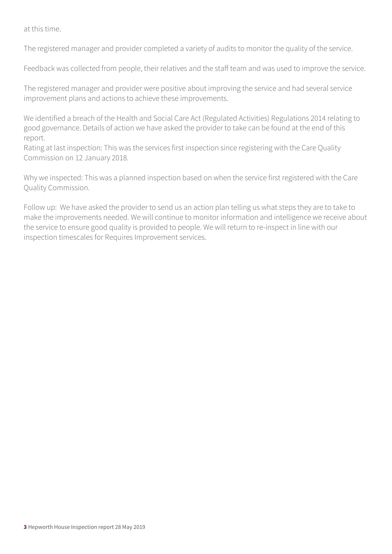at this time.

The registered manager and provider completed a variety of audits to monitor the quality of the service.

Feedback was collected from people, their relatives and the staff team and was used to improve the service.

The registered manager and provider were positive about improving the service and had several service improvement plans and actions to achieve these improvements.

We identified a breach of the Health and Social Care Act (Regulated Activities) Regulations 2014 relating to good governance. Details of action we have asked the provider to take can be found at the end of this report.

Rating at last inspection: This was the services first inspection since registering with the Care Quality Commission on 12 January 2018.

Why we inspected: This was a planned inspection based on when the service first registered with the Care Quality Commission.

Follow up: We have asked the provider to send us an action plan telling us what steps they are to take to make the improvements needed. We will continue to monitor information and intelligence we receive about the service to ensure good quality is provided to people. We will return to re-inspect in line with our inspection timescales for Requires Improvement services.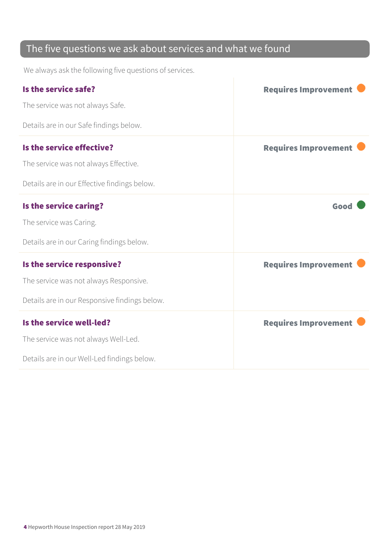### The five questions we ask about services and what we found

We always ask the following five questions of services.

| Is the service safe?                          | <b>Requires Improvement</b> |
|-----------------------------------------------|-----------------------------|
| The service was not always Safe.              |                             |
| Details are in our Safe findings below.       |                             |
| Is the service effective?                     | <b>Requires Improvement</b> |
| The service was not always Effective.         |                             |
| Details are in our Effective findings below.  |                             |
| Is the service caring?                        | Good                        |
| The service was Caring.                       |                             |
| Details are in our Caring findings below.     |                             |
| Is the service responsive?                    | <b>Requires Improvement</b> |
| The service was not always Responsive.        |                             |
| Details are in our Responsive findings below. |                             |
| Is the service well-led?                      | <b>Requires Improvement</b> |
| The service was not always Well-Led.          |                             |
| Details are in our Well-Led findings below.   |                             |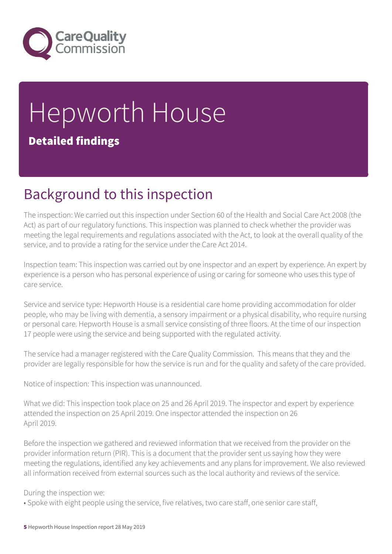

# Hepworth House Detailed findings

# Background to this inspection

The inspection: We carried out this inspection under Section 60 of the Health and Social Care Act 2008 (the Act) as part of our regulatory functions. This inspection was planned to check whether the provider was meeting the legal requirements and regulations associated with the Act, to look at the overall quality of the service, and to provide a rating for the service under the Care Act 2014.

Inspection team: This inspection was carried out by one inspector and an expert by experience. An expert by experience is a person who has personal experience of using or caring for someone who uses this type of care service.

Service and service type: Hepworth House is a residential care home providing accommodation for older people, who may be living with dementia, a sensory impairment or a physical disability, who require nursing or personal care. Hepworth House is a small service consisting of three floors. At the time of our inspection 17 people were using the service and being supported with the regulated activity.

The service had a manager registered with the Care Quality Commission. This means that they and the provider are legally responsible for how the service is run and for the quality and safety of the care provided.

Notice of inspection: This inspection was unannounced.

What we did: This inspection took place on 25 and 26 April 2019. The inspector and expert by experience attended the inspection on 25 April 2019. One inspector attended the inspection on 26 April 2019.

Before the inspection we gathered and reviewed information that we received from the provider on the provider information return (PIR). This is a document that the provider sent us saying how they were meeting the regulations, identified any key achievements and any plans for improvement. We also reviewed all information received from external sources such as the local authority and reviews of the service.

#### During the inspection we:

• Spoke with eight people using the service, five relatives, two care staff, one senior care staff,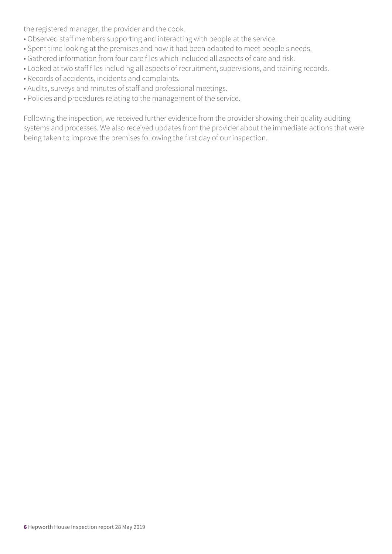the registered manager, the provider and the cook.

- Observed staff members supporting and interacting with people at the service.
- Spent time looking at the premises and how it had been adapted to meet people's needs.
- Gathered information from four care files which included all aspects of care and risk.
- Looked at two staff files including all aspects of recruitment, supervisions, and training records.
- Records of accidents, incidents and complaints.
- Audits, surveys and minutes of staff and professional meetings.
- Policies and procedures relating to the management of the service.

Following the inspection, we received further evidence from the provider showing their quality auditing systems and processes. We also received updates from the provider about the immediate actions that were being taken to improve the premises following the first day of our inspection.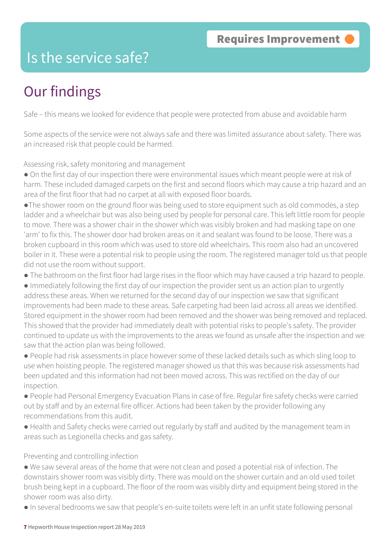# Is the service safe?

# Our findings

Safe – this means we looked for evidence that people were protected from abuse and avoidable harm

Some aspects of the service were not always safe and there was limited assurance about safety. There was an increased risk that people could be harmed.

Assessing risk, safety monitoring and management

● On the first day of our inspection there were environmental issues which meant people were at risk of harm. These included damaged carpets on the first and second floors which may cause a trip hazard and an area of the first floor that had no carpet at all with exposed floor boards.

●The shower room on the ground floor was being used to store equipment such as old commodes, a step ladder and a wheelchair but was also being used by people for personal care. This left little room for people to move. There was a shower chair in the shower which was visibly broken and had masking tape on one 'arm' to fix this. The shower door had broken areas on it and sealant was found to be loose. There was a broken cupboard in this room which was used to store old wheelchairs. This room also had an uncovered boiler in it. These were a potential risk to people using the room. The registered manager told us that people did not use the room without support.

● The bathroom on the first floor had large rises in the floor which may have caused a trip hazard to people.

● Immediately following the first day of our inspection the provider sent us an action plan to urgently address these areas. When we returned for the second day of our inspection we saw that significant improvements had been made to these areas. Safe carpeting had been laid across all areas we identified. Stored equipment in the shower room had been removed and the shower was being removed and replaced. This showed that the provider had immediately dealt with potential risks to people's safety. The provider continued to update us with the improvements to the areas we found as unsafe after the inspection and we saw that the action plan was being followed.

● People had risk assessments in place however some of these lacked details such as which sling loop to use when hoisting people. The registered manager showed us that this was because risk assessments had been updated and this information had not been moved across. This was rectified on the day of our inspection.

● People had Personal Emergency Evacuation Plans in case of fire. Regular fire safety checks were carried out by staff and by an external fire officer. Actions had been taken by the provider following any recommendations from this audit.

● Health and Safety checks were carried out regularly by staff and audited by the management team in areas such as Legionella checks and gas safety.

Preventing and controlling infection

● We saw several areas of the home that were not clean and posed a potential risk of infection. The downstairs shower room was visibly dirty. There was mould on the shower curtain and an old used toilet brush being kept in a cupboard. The floor of the room was visibly dirty and equipment being stored in the shower room was also dirty.

● In several bedrooms we saw that people's en-suite toilets were left in an unfit state following personal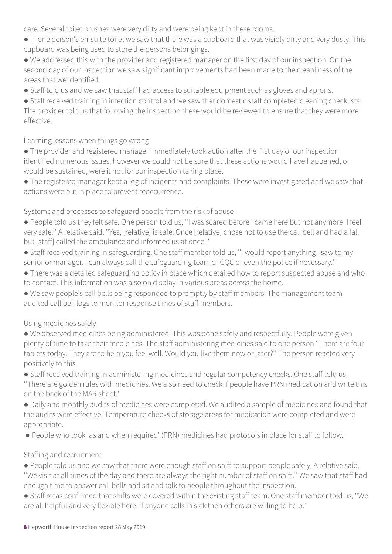care. Several toilet brushes were very dirty and were being kept in these rooms.

- In one person's en-suite toilet we saw that there was a cupboard that was visibly dirty and very dusty. This cupboard was being used to store the persons belongings.
- We addressed this with the provider and registered manager on the first day of our inspection. On the second day of our inspection we saw significant improvements had been made to the cleanliness of the areas that we identified.
- Staff told us and we saw that staff had access to suitable equipment such as gloves and aprons.

● Staff received training in infection control and we saw that domestic staff completed cleaning checklists. The provider told us that following the inspection these would be reviewed to ensure that they were more effective.

Learning lessons when things go wrong

- The provider and registered manager immediately took action after the first day of our inspection identified numerous issues, however we could not be sure that these actions would have happened, or would be sustained, were it not for our inspection taking place.
- The registered manager kept a log of incidents and complaints. These were investigated and we saw that actions were put in place to prevent reoccurrence.

Systems and processes to safeguard people from the risk of abuse

- People told us they felt safe. One person told us, ''I was scared before I came here but not anymore. I feel very safe.'' A relative said, ''Yes, [relative] is safe. Once [relative] chose not to use the call bell and had a fall but [staff] called the ambulance and informed us at once.''
- Staff received training in safeguarding. One staff member told us, ''I would report anything I saw to my senior or manager. I can always call the safeguarding team or CQC or even the police if necessary.''
- There was a detailed safeguarding policy in place which detailed how to report suspected abuse and who to contact. This information was also on display in various areas across the home.
- We saw people's call bells being responded to promptly by staff members. The management team audited call bell logs to monitor response times of staff members.

Using medicines safely

- We observed medicines being administered. This was done safely and respectfully. People were given plenty of time to take their medicines. The staff administering medicines said to one person ''There are four tablets today. They are to help you feel well. Would you like them now or later?'' The person reacted very positively to this.
- Staff received training in administering medicines and regular competency checks. One staff told us, ''There are golden rules with medicines. We also need to check if people have PRN medication and write this on the back of the MAR sheet.''
- Daily and monthly audits of medicines were completed. We audited a sample of medicines and found that the audits were effective. Temperature checks of storage areas for medication were completed and were appropriate.
- People who took 'as and when required' (PRN) medicines had protocols in place for staff to follow.

#### Staffing and recruitment

- People told us and we saw that there were enough staff on shift to support people safely. A relative said, ''We visit at all times of the day and there are always the right number of staff on shift.'' We saw that staff had enough time to answer call bells and sit and talk to people throughout the inspection.
- Staff rotas confirmed that shifts were covered within the existing staff team. One staff member told us, ''We are all helpful and very flexible here. If anyone calls in sick then others are willing to help.''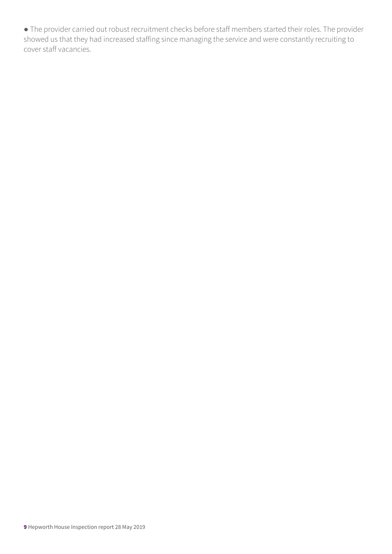● The provider carried out robust recruitment checks before staff members started their roles. The provider showed us that they had increased staffing since managing the service and were constantly recruiting to cover staff vacancies.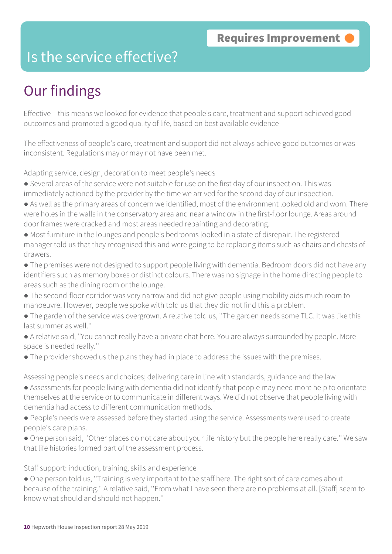### Is the service effective?

# Our findings

Effective – this means we looked for evidence that people's care, treatment and support achieved good outcomes and promoted a good quality of life, based on best available evidence

The effectiveness of people's care, treatment and support did not always achieve good outcomes or was inconsistent. Regulations may or may not have been met.

Adapting service, design, decoration to meet people's needs

- Several areas of the service were not suitable for use on the first day of our inspection. This was immediately actioned by the provider by the time we arrived for the second day of our inspection.
- As well as the primary areas of concern we identified, most of the environment looked old and worn. There were holes in the walls in the conservatory area and near a window in the first-floor lounge. Areas around door frames were cracked and most areas needed repainting and decorating.
- Most furniture in the lounges and people's bedrooms looked in a state of disrepair. The registered manager told us that they recognised this and were going to be replacing items such as chairs and chests of drawers.
- The premises were not designed to support people living with dementia. Bedroom doors did not have any identifiers such as memory boxes or distinct colours. There was no signage in the home directing people to areas such as the dining room or the lounge.
- The second-floor corridor was very narrow and did not give people using mobility aids much room to manoeuvre. However, people we spoke with told us that they did not find this a problem.
- The garden of the service was overgrown. A relative told us, ''The garden needs some TLC. It was like this last summer as well.''
- A relative said, ''You cannot really have a private chat here. You are always surrounded by people. More space is needed really.''
- The provider showed us the plans they had in place to address the issues with the premises.

Assessing people's needs and choices; delivering care in line with standards, guidance and the law

- Assessments for people living with dementia did not identify that people may need more help to orientate themselves at the service or to communicate in different ways. We did not observe that people living with dementia had access to different communication methods.
- People's needs were assessed before they started using the service. Assessments were used to create people's care plans.
- One person said, ''Other places do not care about your life history but the people here really care.'' We saw that life histories formed part of the assessment process.

Staff support: induction, training, skills and experience

• One person told us, "Training is very important to the staff here. The right sort of care comes about because of the training.'' A relative said, ''From what I have seen there are no problems at all. [Staff] seem to know what should and should not happen.''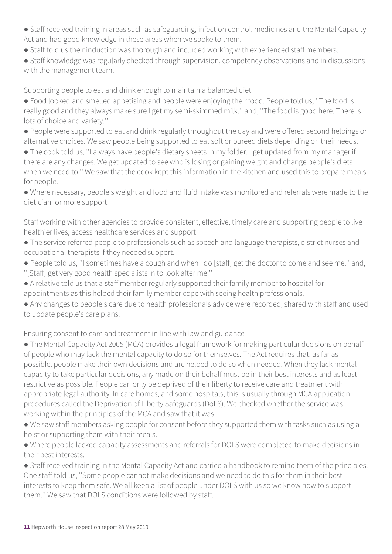- Staff received training in areas such as safeguarding, infection control, medicines and the Mental Capacity Act and had good knowledge in these areas when we spoke to them.
- Staff told us their induction was thorough and included working with experienced staff members.
- Staff knowledge was regularly checked through supervision, competency observations and in discussions with the management team.

Supporting people to eat and drink enough to maintain a balanced diet

- Food looked and smelled appetising and people were enjoying their food. People told us, ''The food is really good and they always make sure I get my semi-skimmed milk.'' and, ''The food is good here. There is lots of choice and variety.''
- People were supported to eat and drink regularly throughout the day and were offered second helpings or alternative choices. We saw people being supported to eat soft or pureed diets depending on their needs.
- The cook told us, ''I always have people's dietary sheets in my folder. I get updated from my manager if there are any changes. We get updated to see who is losing or gaining weight and change people's diets when we need to.'' We saw that the cook kept this information in the kitchen and used this to prepare meals for people.
- Where necessary, people's weight and food and fluid intake was monitored and referrals were made to the dietician for more support.

Staff working with other agencies to provide consistent, effective, timely care and supporting people to live healthier lives, access healthcare services and support

- The service referred people to professionals such as speech and language therapists, district nurses and occupational therapists if they needed support.
- People told us, ''I sometimes have a cough and when I do [staff] get the doctor to come and see me.'' and, ''[Staff] get very good health specialists in to look after me.''
- A relative told us that a staff member regularly supported their family member to hospital for appointments as this helped their family member cope with seeing health professionals.
- Any changes to people's care due to health professionals advice were recorded, shared with staff and used to update people's care plans.

Ensuring consent to care and treatment in line with law and guidance

- The Mental Capacity Act 2005 (MCA) provides a legal framework for making particular decisions on behalf of people who may lack the mental capacity to do so for themselves. The Act requires that, as far as possible, people make their own decisions and are helped to do so when needed. When they lack mental capacity to take particular decisions, any made on their behalf must be in their best interests and as least restrictive as possible. People can only be deprived of their liberty to receive care and treatment with appropriate legal authority. In care homes, and some hospitals, this is usually through MCA application procedures called the Deprivation of Liberty Safeguards (DoLS). We checked whether the service was working within the principles of the MCA and saw that it was.
- We saw staff members asking people for consent before they supported them with tasks such as using a hoist or supporting them with their meals.
- Where people lacked capacity assessments and referrals for DOLS were completed to make decisions in their best interests.

● Staff received training in the Mental Capacity Act and carried a handbook to remind them of the principles. One staff told us, ''Some people cannot make decisions and we need to do this for them in their best interests to keep them safe. We all keep a list of people under DOLS with us so we know how to support them.'' We saw that DOLS conditions were followed by staff.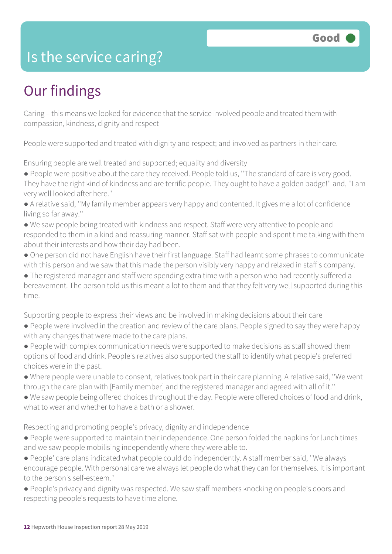## Is the service caring?

# Our findings

Caring – this means we looked for evidence that the service involved people and treated them with compassion, kindness, dignity and respect

People were supported and treated with dignity and respect; and involved as partners in their care.

Ensuring people are well treated and supported; equality and diversity

- People were positive about the care they received. People told us, ''The standard of care is very good.
- They have the right kind of kindness and are terrific people. They ought to have a golden badge!'' and, ''I am very well looked after here.''
- A relative said, ''My family member appears very happy and contented. It gives me a lot of confidence living so far away.''
- We saw people being treated with kindness and respect. Staff were very attentive to people and responded to them in a kind and reassuring manner. Staff sat with people and spent time talking with them about their interests and how their day had been.
- One person did not have English have their first language. Staff had learnt some phrases to communicate with this person and we saw that this made the person visibly very happy and relaxed in staff's company.
- The registered manager and staff were spending extra time with a person who had recently suffered a bereavement. The person told us this meant a lot to them and that they felt very well supported during this time.

Supporting people to express their views and be involved in making decisions about their care

- People were involved in the creation and review of the care plans. People signed to say they were happy with any changes that were made to the care plans.
- People with complex communication needs were supported to make decisions as staff showed them options of food and drink. People's relatives also supported the staff to identify what people's preferred choices were in the past.
- Where people were unable to consent, relatives took part in their care planning. A relative said, ''We went through the care plan with [Family member] and the registered manager and agreed with all of it.''
- We saw people being offered choices throughout the day. People were offered choices of food and drink, what to wear and whether to have a bath or a shower.

Respecting and promoting people's privacy, dignity and independence

- People were supported to maintain their independence. One person folded the napkins for lunch times and we saw people mobilising independently where they were able to.
- People' care plans indicated what people could do independently. A staff member said, ''We always encourage people. With personal care we always let people do what they can for themselves. It is important to the person's self-esteem.''
- People's privacy and dignity was respected. We saw staff members knocking on people's doors and respecting people's requests to have time alone.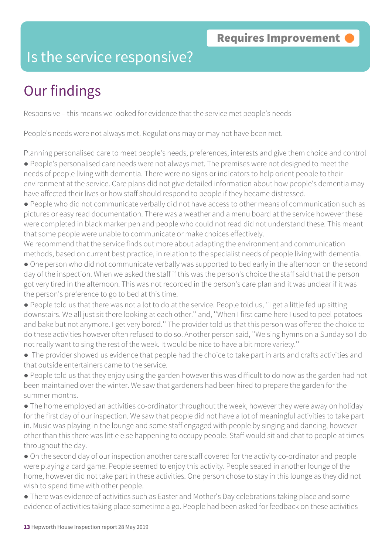### Is the service responsive?

# Our findings

Responsive – this means we looked for evidence that the service met people's needs

People's needs were not always met. Regulations may or may not have been met.

Planning personalised care to meet people's needs, preferences, interests and give them choice and control ● People's personalised care needs were not always met. The premises were not designed to meet the

needs of people living with dementia. There were no signs or indicators to help orient people to their environment at the service. Care plans did not give detailed information about how people's dementia may have affected their lives or how staff should respond to people if they became distressed.

● People who did not communicate verbally did not have access to other means of communication such as pictures or easy read documentation. There was a weather and a menu board at the service however these were completed in black marker pen and people who could not read did not understand these. This meant that some people were unable to communicate or make choices effectively.

We recommend that the service finds out more about adapting the environment and communication methods, based on current best practice, in relation to the specialist needs of people living with dementia.

● One person who did not communicate verbally was supported to bed early in the afternoon on the second day of the inspection. When we asked the staff if this was the person's choice the staff said that the person got very tired in the afternoon. This was not recorded in the person's care plan and it was unclear if it was the person's preference to go to bed at this time.

● People told us that there was not a lot to do at the service. People told us, ''I get a little fed up sitting downstairs. We all just sit there looking at each other.'' and, ''When I first came here I used to peel potatoes and bake but not anymore. I get very bored.'' The provider told us that this person was offered the choice to do these activities however often refused to do so. Another person said, ''We sing hymns on a Sunday so I do not really want to sing the rest of the week. It would be nice to have a bit more variety.''

● The provider showed us evidence that people had the choice to take part in arts and crafts activities and that outside entertainers came to the service.

● People told us that they enjoy using the garden however this was difficult to do now as the garden had not been maintained over the winter. We saw that gardeners had been hired to prepare the garden for the summer months.

• The home employed an activities co-ordinator throughout the week, however they were away on holiday for the first day of our inspection. We saw that people did not have a lot of meaningful activities to take part in. Music was playing in the lounge and some staff engaged with people by singing and dancing, however other than this there was little else happening to occupy people. Staff would sit and chat to people at times throughout the day.

• On the second day of our inspection another care staff covered for the activity co-ordinator and people were playing a card game. People seemed to enjoy this activity. People seated in another lounge of the home, however did not take part in these activities. One person chose to stay in this lounge as they did not wish to spend time with other people.

● There was evidence of activities such as Easter and Mother's Day celebrations taking place and some evidence of activities taking place sometime a go. People had been asked for feedback on these activities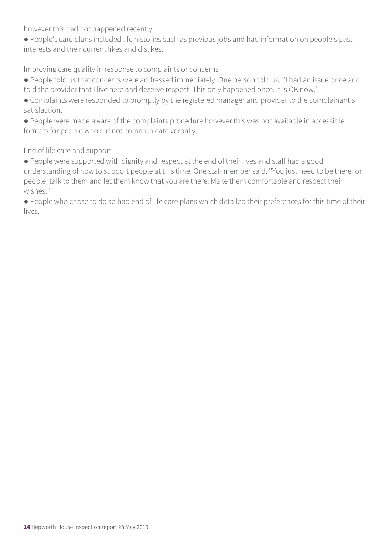however this had not happened recently.

● People's care plans included life histories such as previous jobs and had information on people's past interests and their current likes and dislikes.

Improving care quality in response to complaints or concerns

- People told us that concerns were addressed immediately. One person told us, ''I had an issue once and told the provider that I live here and deserve respect. This only happened once. It is OK now.''
- Complaints were responded to promptly by the registered manager and provider to the complainant's satisfaction.
- People were made aware of the complaints procedure however this was not available in accessible formats for people who did not communicate verbally.

End of life care and support

- People were supported with dignity and respect at the end of their lives and staff had a good understanding of how to support people at this time. One staff member said, ''You just need to be there for people, talk to them and let them know that you are there. Make them comfortable and respect their wishes.''
- People who chose to do so had end of life care plans which detailed their preferences for this time of their lives.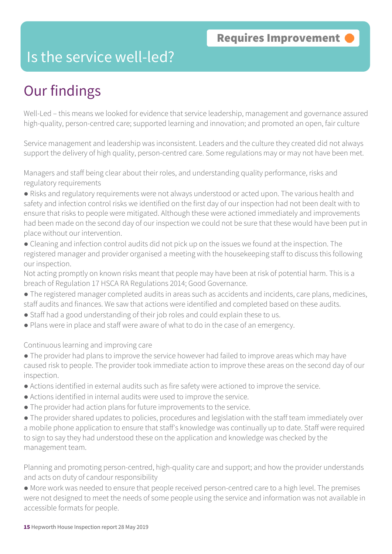### Is the service well-led?

# Our findings

Well-Led – this means we looked for evidence that service leadership, management and governance assured high-quality, person-centred care; supported learning and innovation; and promoted an open, fair culture

Service management and leadership was inconsistent. Leaders and the culture they created did not always support the delivery of high quality, person-centred care. Some regulations may or may not have been met.

Managers and staff being clear about their roles, and understanding quality performance, risks and regulatory requirements

● Risks and regulatory requirements were not always understood or acted upon. The various health and safety and infection control risks we identified on the first day of our inspection had not been dealt with to ensure that risks to people were mitigated. Although these were actioned immediately and improvements had been made on the second day of our inspection we could not be sure that these would have been put in place without our intervention.

● Cleaning and infection control audits did not pick up on the issues we found at the inspection. The registered manager and provider organised a meeting with the housekeeping staff to discuss this following our inspection.

Not acting promptly on known risks meant that people may have been at risk of potential harm. This is a breach of Regulation 17 HSCA RA Regulations 2014; Good Governance.

- The registered manager completed audits in areas such as accidents and incidents, care plans, medicines, staff audits and finances. We saw that actions were identified and completed based on these audits.
- Staff had a good understanding of their job roles and could explain these to us.
- Plans were in place and staff were aware of what to do in the case of an emergency.

Continuous learning and improving care

• The provider had plans to improve the service however had failed to improve areas which may have caused risk to people. The provider took immediate action to improve these areas on the second day of our inspection.

- Actions identified in external audits such as fire safety were actioned to improve the service.
- Actions identified in internal audits were used to improve the service.
- The provider had action plans for future improvements to the service.

● The provider shared updates to policies, procedures and legislation with the staff team immediately over a mobile phone application to ensure that staff's knowledge was continually up to date. Staff were required to sign to say they had understood these on the application and knowledge was checked by the management team.

Planning and promoting person-centred, high-quality care and support; and how the provider understands and acts on duty of candour responsibility

● More work was needed to ensure that people received person-centred care to a high level. The premises were not designed to meet the needs of some people using the service and information was not available in accessible formats for people.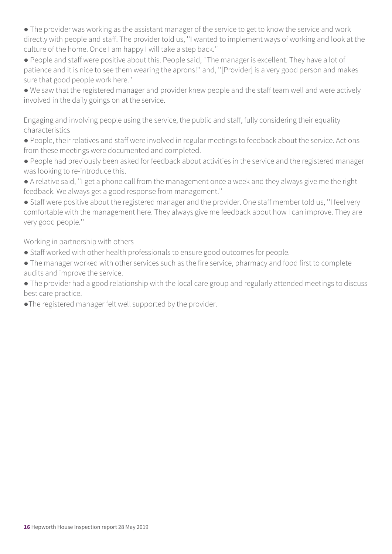• The provider was working as the assistant manager of the service to get to know the service and work directly with people and staff. The provider told us, ''I wanted to implement ways of working and look at the culture of the home. Once I am happy I will take a step back.''

● People and staff were positive about this. People said, ''The manager is excellent. They have a lot of patience and it is nice to see them wearing the aprons!'' and, ''[Provider] is a very good person and makes sure that good people work here.''

● We saw that the registered manager and provider knew people and the staff team well and were actively involved in the daily goings on at the service.

Engaging and involving people using the service, the public and staff, fully considering their equality characteristics

● People, their relatives and staff were involved in regular meetings to feedback about the service. Actions from these meetings were documented and completed.

● People had previously been asked for feedback about activities in the service and the registered manager was looking to re-introduce this.

● A relative said, ''I get a phone call from the management once a week and they always give me the right feedback. We always get a good response from management.''

● Staff were positive about the registered manager and the provider. One staff member told us, ''I feel very comfortable with the management here. They always give me feedback about how I can improve. They are very good people.''

Working in partnership with others

- Staff worked with other health professionals to ensure good outcomes for people.
- The manager worked with other services such as the fire service, pharmacy and food first to complete audits and improve the service.
- The provider had a good relationship with the local care group and regularly attended meetings to discuss best care practice.
- ●The registered manager felt well supported by the provider.